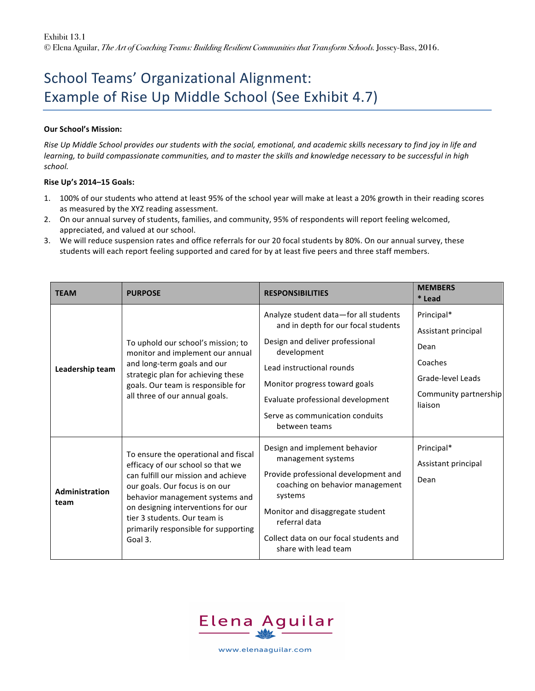## School Teams' Organizational Alignment: Example of Rise Up Middle School (See Exhibit 4.7)

## **Our School's Mission:**

*Rise Up Middle School provides our students with the social, emotional, and academic skills necessary to find joy in life and learning, to build compassionate communities, and to master the skills and knowledge necessary to be successful in high school.*

## **Rise Up's 2014–15 Goals:**

- 1. 100% of our students who attend at least 95% of the school year will make at least a 20% growth in their reading scores as measured by the XYZ reading assessment.
- 2. On our annual survey of students, families, and community, 95% of respondents will report feeling welcomed, appreciated, and valued at our school.
- 3. We will reduce suspension rates and office referrals for our 20 focal students by 80%. On our annual survey, these students will each report feeling supported and cared for by at least five peers and three staff members.

| <b>TEAM</b>            | <b>PURPOSE</b>                                                                                                                                                                                                                                                                                                 | <b>RESPONSIBILITIES</b>                                                                                                                                                                                                                                                               | <b>MEMBERS</b><br>* Lead                                                                                      |
|------------------------|----------------------------------------------------------------------------------------------------------------------------------------------------------------------------------------------------------------------------------------------------------------------------------------------------------------|---------------------------------------------------------------------------------------------------------------------------------------------------------------------------------------------------------------------------------------------------------------------------------------|---------------------------------------------------------------------------------------------------------------|
| Leadership team        | To uphold our school's mission; to<br>monitor and implement our annual<br>and long-term goals and our<br>strategic plan for achieving these<br>goals. Our team is responsible for<br>all three of our annual goals.                                                                                            | Analyze student data-for all students<br>and in depth for our focal students<br>Design and deliver professional<br>development<br>Lead instructional rounds<br>Monitor progress toward goals<br>Evaluate professional development<br>Serve as communication conduits<br>between teams | Principal*<br>Assistant principal<br>Dean<br>Coaches<br>Grade-level Leads<br>Community partnership<br>liaison |
| Administration<br>team | To ensure the operational and fiscal<br>efficacy of our school so that we<br>can fulfill our mission and achieve<br>our goals. Our focus is on our<br>behavior management systems and<br>on designing interventions for our<br>tier 3 students. Our team is<br>primarily responsible for supporting<br>Goal 3. | Design and implement behavior<br>management systems<br>Provide professional development and<br>coaching on behavior management<br>systems<br>Monitor and disaggregate student<br>referral data<br>Collect data on our focal students and<br>share with lead team                      | Principal*<br>Assistant principal<br>Dean                                                                     |



www.elenaaquilar.com